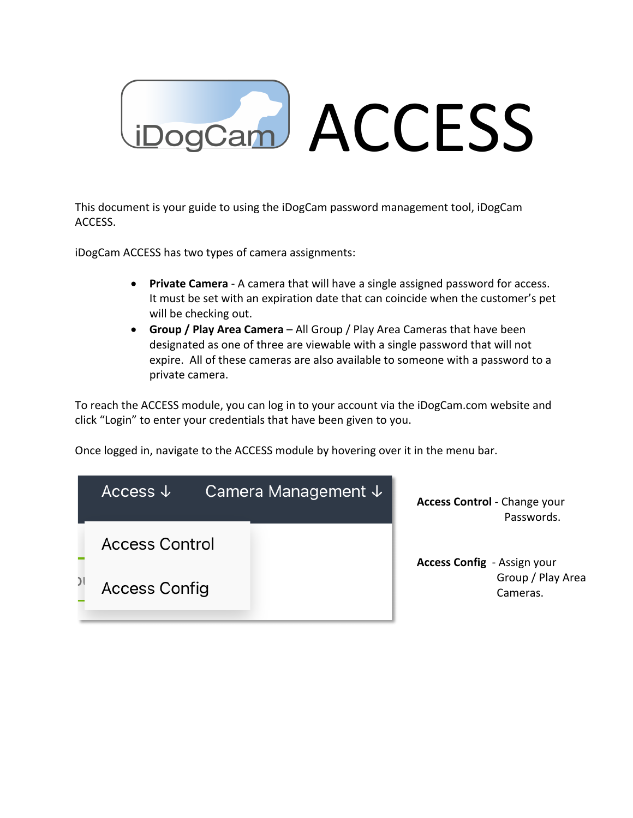

This document is your guide to using the iDogCam password management tool, iDogCam ACCESS.

iDogCam ACCESS has two types of camera assignments:

- **Private Camera** A camera that will have a single assigned password for access. It must be set with an expiration date that can coincide when the customer's pet will be checking out.
- **Group / Play Area Camera** All Group / Play Area Cameras that have been designated as one of three are viewable with a single password that will not expire. All of these cameras are also available to someone with a password to a private camera.

To reach the ACCESS module, you can log in to your account via the iDogCam.com website and click "Login" to enter your credentials that have been given to you.

Once logged in, navigate to the ACCESS module by hovering over it in the menu bar.

| Access $\downarrow$   | Camera Management ↓ | <b>Access Control</b> - Change your<br>Passwords. |
|-----------------------|---------------------|---------------------------------------------------|
| <b>Access Control</b> |                     | <b>Access Config</b> - Assign your                |
| <b>Access Config</b>  |                     | Group / Play Area<br>Cameras.                     |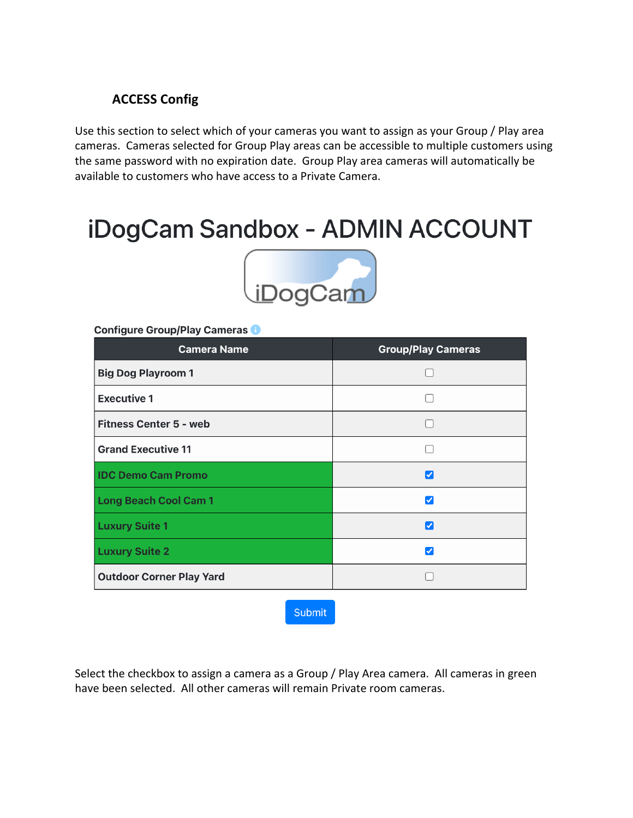# **ACCESS Config**

Use this section to select which of your cameras you want to assign as your Group / Play area cameras. Cameras selected for Group Play areas can be accessible to multiple customers using the same password with no expiration date. Group Play area cameras will automatically be available to customers who have access to a Private Camera.

# iDogCam Sandbox - ADMIN ACCOUNT



#### Configure Group/Play Cameras

| <b>Camera Name</b>              | <b>Group/Play Cameras</b> |
|---------------------------------|---------------------------|
| <b>Big Dog Playroom 1</b>       |                           |
| <b>Executive 1</b>              |                           |
| <b>Fitness Center 5 - web</b>   |                           |
| <b>Grand Executive 11</b>       |                           |
| <b>IDC Demo Cam Promo</b>       | ∣✓                        |
| <b>Long Beach Cool Cam 1</b>    | ✓                         |
| <b>Luxury Suite 1</b>           | V                         |
| <b>Luxury Suite 2</b>           | $\checkmark$              |
| <b>Outdoor Corner Play Yard</b> |                           |

**Submit** 

Select the checkbox to assign a camera as a Group / Play Area camera. All cameras in green have been selected. All other cameras will remain Private room cameras.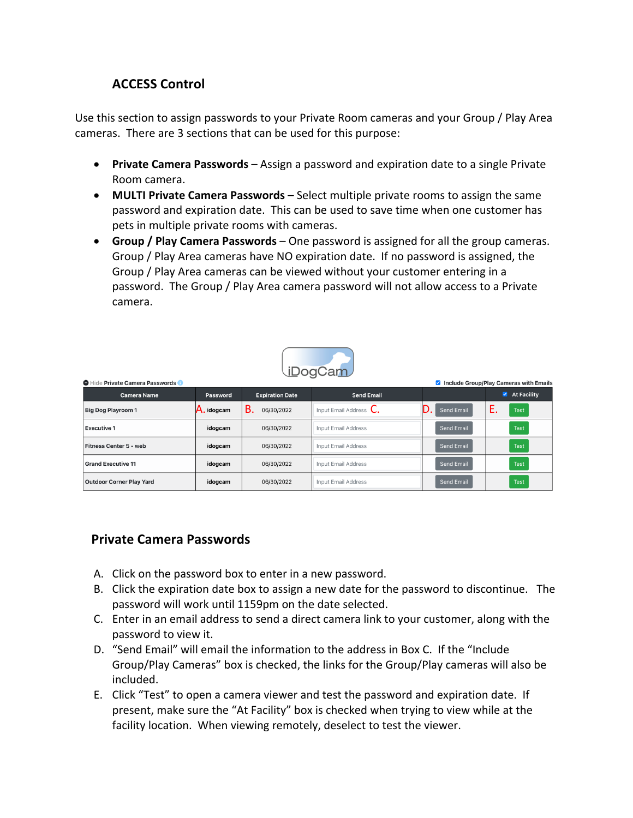## **ACCESS Control**

Use this section to assign passwords to your Private Room cameras and your Group / Play Area cameras. There are 3 sections that can be used for this purpose:

- **Private Camera Passwords** Assign a password and expiration date to a single Private Room camera.
- **MULTI Private Camera Passwords** Select multiple private rooms to assign the same password and expiration date. This can be used to save time when one customer has pets in multiple private rooms with cameras.
- **Group / Play Camera Passwords** One password is assigned for all the group cameras. Group / Play Area cameras have NO expiration date. If no password is assigned, the Group / Play Area cameras can be viewed without your customer entering in a password. The Group / Play Area camera password will not allow access to a Private camera.



| Hide Private Camera Passwords<br>Include Group/Play Cameras with Emails |           |                         |                                   |                   |                                   |
|-------------------------------------------------------------------------|-----------|-------------------------|-----------------------------------|-------------------|-----------------------------------|
| <b>Camera Name</b>                                                      | Password  | <b>Expiration Date</b>  | <b>Send Email</b>                 |                   | $\blacktriangleright$ At Facility |
| <b>Big Dog Playroom 1</b>                                               | . idogcam | <b>B.</b><br>06/30/2022 | Input Email Address $\mathsf{C}.$ | D<br>Send Email   | <b>Test</b>                       |
| <b>Executive 1</b>                                                      | idogcam   | 06/30/2022              | <b>Input Email Address</b>        | <b>Send Email</b> | <b>Test</b>                       |
| Fitness Center 5 - web                                                  | idogcam   | 06/30/2022              | <b>Input Email Address</b>        | <b>Send Email</b> | <b>Test</b>                       |
| <b>Grand Executive 11</b>                                               | idogcam   | 06/30/2022              | <b>Input Email Address</b>        | <b>Send Email</b> | <b>Test</b>                       |
| <b>Outdoor Corner Play Yard</b>                                         | idogcam   | 06/30/2022              | Input Email Address               | <b>Send Email</b> | <b>Test</b>                       |

#### **Private Camera Passwords**

- A. Click on the password box to enter in a new password.
- B. Click the expiration date box to assign a new date for the password to discontinue. The password will work until 1159pm on the date selected.
- C. Enter in an email address to send a direct camera link to your customer, along with the password to view it.
- D. "Send Email" will email the information to the address in Box C. If the "Include Group/Play Cameras" box is checked, the links for the Group/Play cameras will also be included.
- E. Click "Test" to open a camera viewer and test the password and expiration date. If present, make sure the "At Facility" box is checked when trying to view while at the facility location. When viewing remotely, deselect to test the viewer.